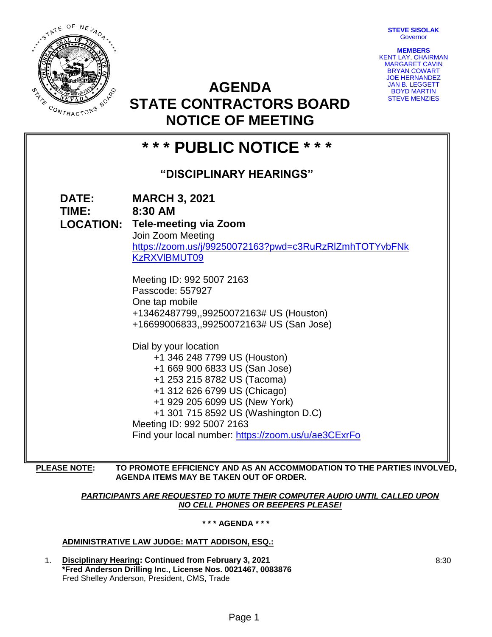**STEVE SISOLAK** Governor



**AGENDA STATE CONTRACTORS BOARD NOTICE OF MEETING**

| <b>MEMBERS</b>            |
|---------------------------|
| <b>KENT LAY, CHAIRMAN</b> |
| <b>MARGARET CAVIN</b>     |
| <b>BRYAN COWART</b>       |
| <b>JOE HERNANDEZ</b>      |
| <b>JAN B. LEGGETT</b>     |
| <b>BOYD MARTIN</b>        |
| <b>STEVE MENZIES</b>      |

# **\* \* \* PUBLIC NOTICE \* \* \* "DISCIPLINARY HEARINGS" DATE: MARCH 3, 2021 TIME: 8:30 AM LOCATION: Tele-meeting via Zoom** Join Zoom Meeting [https://zoom.us/j/99250072163?pwd=c3RuRzRlZmhTOTYvbFNk](https://zoom.us/j/99250072163?pwd=c3RuRzRlZmhTOTYvbFNkKzRXVlBMUT09) [KzRXVlBMUT09](https://zoom.us/j/99250072163?pwd=c3RuRzRlZmhTOTYvbFNkKzRXVlBMUT09) Meeting ID: 992 5007 2163 Passcode: 557927 One tap mobile +13462487799,,99250072163# US (Houston) +16699006833,,99250072163# US (San Jose) Dial by your location +1 346 248 7799 US (Houston) +1 669 900 6833 US (San Jose) +1 253 215 8782 US (Tacoma) +1 312 626 6799 US (Chicago) +1 929 205 6099 US (New York) +1 301 715 8592 US (Washington D.C) Meeting ID: 992 5007 2163 Find your local number:<https://zoom.us/u/ae3CExrFo>

**PLEASE NOTE: TO PROMOTE EFFICIENCY AND AS AN ACCOMMODATION TO THE PARTIES INVOLVED, AGENDA ITEMS MAY BE TAKEN OUT OF ORDER.**

### *PARTICIPANTS ARE REQUESTED TO MUTE THEIR COMPUTER AUDIO UNTIL CALLED UPON NO CELL PHONES OR BEEPERS PLEASE!*

**\* \* \* AGENDA \* \* \***

## **ADMINISTRATIVE LAW JUDGE: MATT ADDISON, ESQ.:**

1. **Disciplinary Hearing: Continued from February 3, 2021 \*Fred Anderson Drilling Inc., License Nos. 0021467, 0083876** Fred Shelley Anderson, President, CMS, Trade

8:30